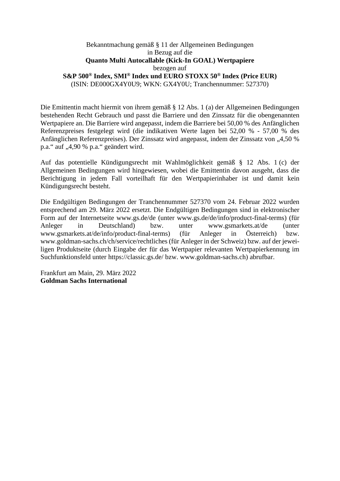## Bekanntmachung gemäß § 11 der Allgemeinen Bedingungen in Bezug auf die **Quanto Multi Autocallable (Kick-In GOAL) Wertpapiere**  bezogen auf **S&P 500® Index, SMI® Index und EURO STOXX 50® Index (Price EUR)**  (ISIN: DE000GX4Y0U9; WKN: GX4Y0U; Tranchennummer: 527370)

Die Emittentin macht hiermit von ihrem gemäß § 12 Abs. 1 (a) der Allgemeinen Bedingungen bestehenden Recht Gebrauch und passt die Barriere und den Zinssatz für die obengenannten Wertpapiere an. Die Barriere wird angepasst, indem die Barriere bei 50,00 % des Anfänglichen Referenzpreises festgelegt wird (die indikativen Werte lagen bei 52,00 % - 57,00 % des Anfänglichen Referenzpreises). Der Zinssatz wird angepasst, indem der Zinssatz von "4,50 % p.a." auf "4,90 % p.a." geändert wird.

Auf das potentielle Kündigungsrecht mit Wahlmöglichkeit gemäß § 12 Abs. 1 (c) der Allgemeinen Bedingungen wird hingewiesen, wobei die Emittentin davon ausgeht, dass die Berichtigung in jedem Fall vorteilhaft für den Wertpapierinhaber ist und damit kein Kündigungsrecht besteht.

Die Endgültigen Bedingungen der Tranchennummer 527370 vom 24. Februar 2022 wurden entsprechend am 29. März 2022 ersetzt. Die Endgültigen Bedingungen sind in elektronischer Form auf der Internetseite www.gs.de/de (unter www.gs.de/de/info/product-final-terms) (für Anleger in Deutschland) bzw. unter www.gsmarkets.at/de (unter www.gsmarkets.at/de/info/product-final-terms) (für Anleger in Österreich) bzw. www.goldman-sachs.ch/ch/service/rechtliches (für Anleger in der Schweiz) bzw. auf der jeweiligen Produktseite (durch Eingabe der für das Wertpapier relevanten Wertpapierkennung im Suchfunktionsfeld unter https://classic.gs.de/ bzw. www.goldman-sachs.ch) abrufbar.

Frankfurt am Main, 29. März 2022 **Goldman Sachs International**